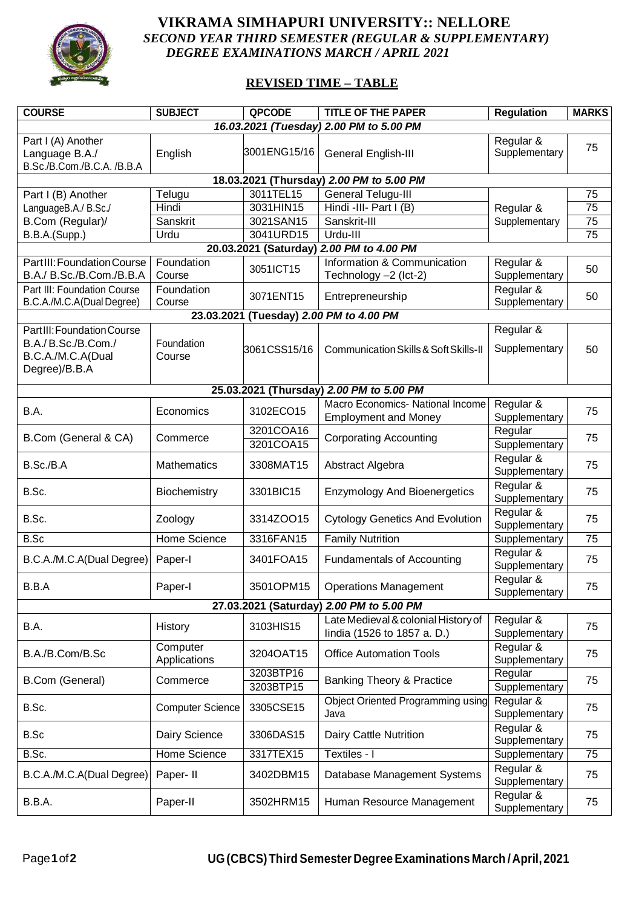

## **VIKRAMA SIMHAPURI UNIVERSITY:: NELLORE** *SECOND YEAR THIRD SEMESTER (REGULAR & SUPPLEMENTARY) DEGREE EXAMINATIONS MARCH / APRIL 2021*

## **REVISED TIME – TABLE**

| <b>COURSE</b>                                                      | <b>SUBJECT</b>           | <b>QPCODE</b>          | <b>TITLE OF THE PAPER</b>                                          | <b>Regulation</b>          | <b>MARKS</b>    |  |  |  |  |
|--------------------------------------------------------------------|--------------------------|------------------------|--------------------------------------------------------------------|----------------------------|-----------------|--|--|--|--|
| 16.03.2021 (Tuesday) 2.00 PM to 5.00 PM                            |                          |                        |                                                                    |                            |                 |  |  |  |  |
| Part I (A) Another<br>Language B.A./<br>B.Sc./B.Com./B.C.A. /B.B.A | English                  | 3001ENG15/16           | General English-III                                                | Regular &<br>Supplementary | 75              |  |  |  |  |
| 18.03.2021 (Thursday) 2.00 PM to 5.00 PM                           |                          |                        |                                                                    |                            |                 |  |  |  |  |
| Part I (B) Another                                                 | Telugu                   | 3011TEL15              | General Telugu-III                                                 |                            | 75              |  |  |  |  |
| LanguageB.A./ B.Sc./                                               | Hindi                    | 3031HIN15              | Hindi -III- Part I (B)                                             | Regular &                  | 75              |  |  |  |  |
| B.Com (Regular)/                                                   | Sanskrit                 | 3021SAN15              | Sanskrit-III                                                       | Supplementary              | 75              |  |  |  |  |
| B.B.A.(Supp.)                                                      | Urdu                     | 3041URD15              | Urdu-III                                                           |                            | 75              |  |  |  |  |
| 20.03.2021 (Saturday) 2.00 PM to 4.00 PM                           |                          |                        |                                                                    |                            |                 |  |  |  |  |
| PartIII: Foundation Course<br>B.A./ B.Sc./B.Com./B.B.A             | Foundation<br>Course     | 3051ICT15              | Information & Communication<br>Technology -2 (Ict-2)               | Regular &<br>Supplementary | 50              |  |  |  |  |
| Part III: Foundation Course<br>B.C.A./M.C.A(Dual Degree)           | Foundation<br>Course     | 3071ENT15              | Entrepreneurship                                                   | Regular &<br>Supplementary | 50              |  |  |  |  |
|                                                                    |                          |                        | 23.03.2021 (Tuesday) 2.00 PM to 4.00 PM                            |                            |                 |  |  |  |  |
| Part III: Foundation Course                                        |                          |                        |                                                                    | Regular &                  |                 |  |  |  |  |
| B.A./B.Sc./B.Com./<br>B.C.A./M.C.A(Dual<br>Degree)/B.B.A           | Foundation<br>Course     | 3061CSS15/16           | Communication Skills & Soft Skills-II                              | Supplementary              | 50              |  |  |  |  |
|                                                                    |                          |                        | 25.03.2021 (Thursday) 2.00 PM to 5.00 PM                           |                            |                 |  |  |  |  |
| B.A.                                                               | Economics                | 3102ECO15              | Macro Economics- National Income<br><b>Employment and Money</b>    | Regular &<br>Supplementary | 75              |  |  |  |  |
| B.Com (General & CA)                                               | Commerce                 | 3201COA16<br>3201COA15 | <b>Corporating Accounting</b>                                      | Regular<br>Supplementary   | 75              |  |  |  |  |
| B.Sc./B.A                                                          | <b>Mathematics</b>       | 3308MAT15              | Abstract Algebra                                                   | Regular &<br>Supplementary | 75              |  |  |  |  |
| B.Sc.                                                              | Biochemistry             | 3301BIC15              | <b>Enzymology And Bioenergetics</b>                                | Regular &<br>Supplementary | 75              |  |  |  |  |
| B.Sc.                                                              | Zoology                  | 3314ZOO15              | <b>Cytology Genetics And Evolution</b>                             | Regular &<br>Supplementary | 75              |  |  |  |  |
| B.Sc                                                               | Home Science             | 3316FAN15              | <b>Family Nutrition</b>                                            | Supplementary              | 75              |  |  |  |  |
| B.C.A./M.C.A(Dual Degree)                                          | Paper-I                  | 3401FOA15              | <b>Fundamentals of Accounting</b>                                  | Regular &<br>Supplementary | 75              |  |  |  |  |
| B.B.A                                                              | Paper-I                  | 3501OPM15              | <b>Operations Management</b>                                       | Regular &<br>Supplementary | 75              |  |  |  |  |
| 27.03.2021 (Saturday) 2.00 PM to 5.00 PM                           |                          |                        |                                                                    |                            |                 |  |  |  |  |
| B.A.                                                               | History                  | 3103HIS15              | Late Medieval & colonial History of<br>lindia (1526 to 1857 a. D.) | Regular &<br>Supplementary | 75              |  |  |  |  |
| B.A./B.Com/B.Sc                                                    | Computer<br>Applications | 3204OAT15              | <b>Office Automation Tools</b>                                     | Regular &<br>Supplementary | 75              |  |  |  |  |
| B.Com (General)                                                    | Commerce                 | 3203BTP16<br>3203BTP15 | <b>Banking Theory &amp; Practice</b>                               | Regular<br>Supplementary   | 75              |  |  |  |  |
| B.Sc.                                                              | <b>Computer Science</b>  | 3305CSE15              | <b>Object Oriented Programming using</b><br>Java                   | Regular &<br>Supplementary | 75              |  |  |  |  |
| B.Sc                                                               | Dairy Science            | 3306DAS15              | Dairy Cattle Nutrition                                             | Regular &<br>Supplementary | 75              |  |  |  |  |
| B.Sc.                                                              | <b>Home Science</b>      | 3317TEX15              | Textiles - I                                                       | Supplementary              | $\overline{75}$ |  |  |  |  |
| B.C.A./M.C.A(Dual Degree)                                          | Paper- II                | 3402DBM15              | Database Management Systems                                        | Regular &<br>Supplementary | 75              |  |  |  |  |
| B.B.A.                                                             | Paper-II                 | 3502HRM15              | Human Resource Management                                          | Regular &<br>Supplementary | 75              |  |  |  |  |